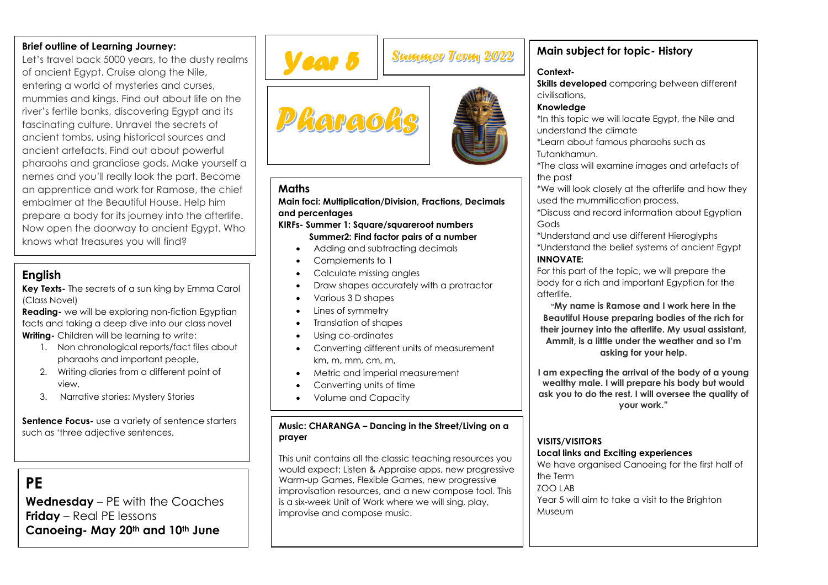#### **Brief outline of Learning Journey:**

Let's travel back 5000 years, to the dusty realms of ancient Egypt. Cruise along the Nile, entering a world of mysteries and curses, mummies and kings. Find out about life on the river's fertile banks, discovering Egypt and its fascinating culture. Unravel the secrets of ancient tombs, using historical sources and ancient artefacts. Find out about powerful pharaohs and grandiose gods. Make yourself a nemes and you'll really look the part. Become an apprentice and work for Ramose, the chief embalmer at the Beautiful House. Help him prepare a body for its journey into the afterlife. Now open the doorway to ancient Egypt. Who knows what treasures you will find?

## **English**

**Key Texts-** The secrets of a sun king by Emma Carol (Class Novel)

**Reading-** we will be exploring non-fiction Egyptian facts and taking a deep dive into our class novel **Writing-** Children will be learning to write:

- 1. Non chronological reports/fact files about pharaohs and important people,
- 2. Writing diaries from a different point of view,
- 3. Narrative stories: Mystery Stories

**Sentence Focus-** use a variety of sentence starters such as 'three adjective sentences.

# **PE**

**Wednesday** – PE with the Coaches **Friday** – Real PE lessons **Canoeing- May 20th and 10th June**



## **Maths**

**Main foci: Multiplication/Division, Fractions, Decimals and percentages**

- **KIRFs- Summer 1: Square/squareroot numbers Summer2: Find factor pairs of a number**
	- Adding and subtracting decimals
	- Complements to 1
	- Calculate missing angles
	- Draw shapes accurately with a protractor
	- Various 3 D shapes
	- Lines of symmetry
	- Translation of shapes
	- Using co-ordinates
	- Converting different units of measurement km, m, mm, cm, m,
	- Metric and imperial measurement
	- Converting units of time
	- Volume and Capacity

#### **Music: CHARANGA – Dancing in the Street/Living on a prayer**

This unit contains all the classic teaching resources you would expect; Listen & Appraise apps, new progressive Warm-up Games, Flexible Games, new progressive improvisation resources, and a new compose tool. This is a six-week Unit of Work where we will sing, play, improvise and compose music.

## **Main subject for topic- History**

### **Context-**

**Skills developed** comparing between different civilisations,

#### **Knowledge**

\*In this topic we will locate Egypt, the Nile and understand the climate

\*Learn about famous pharaohs such as Tutankhamun.

\*The class will examine images and artefacts of the past

\*We will look closely at the afterlife and how they used the mummification process.

\*Discuss and record information about Egyptian Gods

\*Understand and use different Hieroglyphs \*Understand the belief systems of ancient Egypt **INNOVATE:**

For this part of the topic, we will prepare the body for a rich and important Egyptian for the afterlife.

**"My name is Ramose and I work here in the Beautiful House preparing bodies of the rich for their journey into the afterlife. My usual assistant, Ammit, is a little under the weather and so I'm asking for your help.**

**I am expecting the arrival of the body of a young wealthy male. I will prepare his body but would ask you to do the rest. I will oversee the quality of your work."**

## **VISITS/VISITORS**

#### **Local links and Exciting experiences**

We have organised Canoeing for the first half of the Term ZOO LAB Year 5 will aim to take a visit to the Brighton Museum